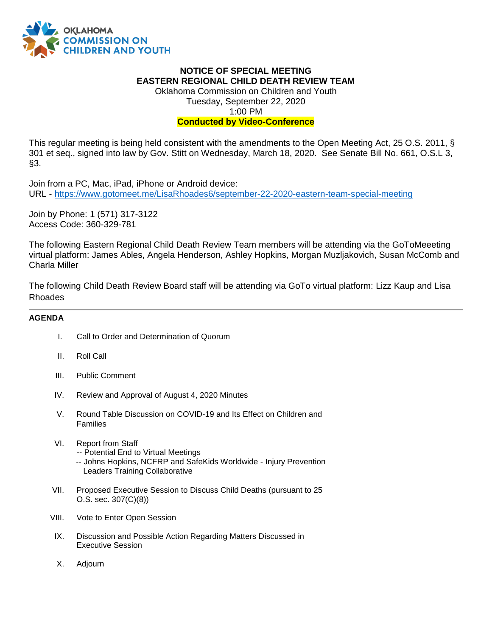

## **NOTICE OF SPECIAL MEETING EASTERN REGIONAL CHILD DEATH REVIEW TEAM**

Oklahoma Commission on Children and Youth Tuesday, September 22, 2020 1:00 PM

## **Conducted by Video-Conference**

This regular meeting is being held consistent with the amendments to the Open Meeting Act, 25 O.S. 2011, § 301 et seq., signed into law by Gov. Stitt on Wednesday, March 18, 2020. See Senate Bill No. 661, O.S.L 3, §3.

Join from a PC, Mac, iPad, iPhone or Android device: URL - <https://www.gotomeet.me/LisaRhoades6/september-22-2020-eastern-team-special-meeting>

Join by Phone: 1 (571) 317-3122 Access Code: 360-329-781

The following Eastern Regional Child Death Review Team members will be attending via the GoToMeeeting virtual platform: James Ables, Angela Henderson, Ashley Hopkins, Morgan Muzljakovich, Susan McComb and Charla Miller

The following Child Death Review Board staff will be attending via GoTo virtual platform: Lizz Kaup and Lisa Rhoades

## **AGENDA**

- I. Call to Order and Determination of Quorum
- II. Roll Call
- III. Public Comment
- IV. Review and Approval of August 4, 2020 Minutes
- V. Round Table Discussion on COVID-19 and Its Effect on Children and Families
- VI. Report from Staff -- Potential End to Virtual Meetings -- Johns Hopkins, NCFRP and SafeKids Worldwide - Injury Prevention Leaders Training Collaborative
- VII. Proposed Executive Session to Discuss Child Deaths (pursuant to 25 O.S. sec. 307(C)(8))
- VIII. Vote to Enter Open Session
- IX. Discussion and Possible Action Regarding Matters Discussed in Executive Session
- X. Adjourn